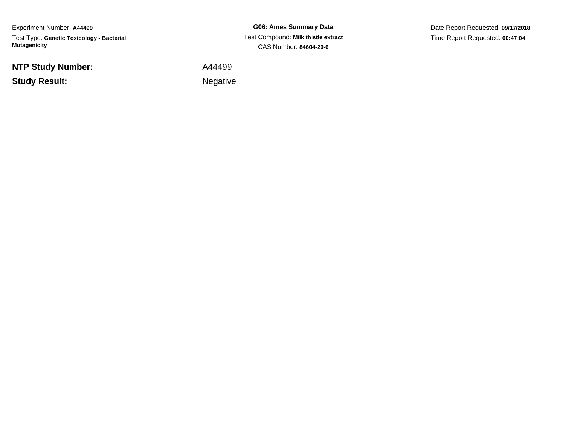Experiment Number: **A44499**Test Type: **Genetic Toxicology - Bacterial Mutagenicity**

**NTP Study Number:**

**Study Result:**

**G06: Ames Summary Data** Test Compound: **Milk thistle extract**CAS Number: **84604-20-6**

Date Report Requested: **09/17/2018**Time Report Requested: **00:47:04**

A44499

Negative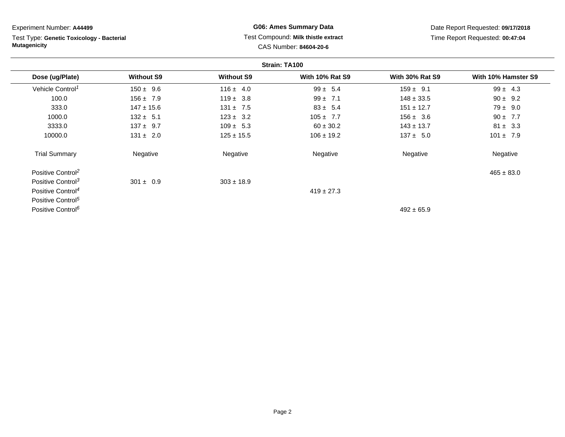Test Type: **Genetic Toxicology - Bacterial Mutagenicity**

# **G06: Ames Summary Data** Test Compound: **Milk thistle extract**CAS Number: **84604-20-6**

Date Report Requested: **09/17/2018**Time Report Requested: **00:47:04**

|                               |                   |                   | Strain: TA100          |                        |                     |
|-------------------------------|-------------------|-------------------|------------------------|------------------------|---------------------|
| Dose (ug/Plate)               | <b>Without S9</b> | <b>Without S9</b> | <b>With 10% Rat S9</b> | <b>With 30% Rat S9</b> | With 10% Hamster S9 |
| Vehicle Control <sup>1</sup>  | $150 \pm 9.6$     | $116 \pm 4.0$     | $99 \pm 5.4$           | $159 \pm 9.1$          | $99 \pm 4.3$        |
| 100.0                         | $156 \pm 7.9$     | $119 \pm 3.8$     | $99 \pm 7.1$           | $148 \pm 33.5$         | $90 \pm 9.2$        |
| 333.0                         | $147 \pm 15.6$    | $131 \pm 7.5$     | $83 \pm 5.4$           | $151 \pm 12.7$         | $79 \pm 9.0$        |
| 1000.0                        | $132 \pm 5.1$     | $123 \pm 3.2$     | $105 \pm 7.7$          | $156 \pm 3.6$          | $90 \pm 7.7$        |
| 3333.0                        | $137 \pm 9.7$     | $109 \pm 5.3$     | $60 \pm 30.2$          | $143 \pm 13.7$         | $81 \pm 3.3$        |
| 10000.0                       | $131 \pm 2.0$     | $125 \pm 15.5$    | $106 \pm 19.2$         | $137 \pm 5.0$          | $101 \pm 7.9$       |
| <b>Trial Summary</b>          | Negative          | Negative          | Negative               | Negative               | Negative            |
| Positive Control <sup>2</sup> |                   |                   |                        |                        | $465 \pm 83.0$      |
| Positive Control <sup>3</sup> | $301 \pm 0.9$     | $303 \pm 18.9$    |                        |                        |                     |
| Positive Control <sup>4</sup> |                   |                   | $419 \pm 27.3$         |                        |                     |
| Positive Control <sup>5</sup> |                   |                   |                        |                        |                     |
| Positive Control <sup>6</sup> |                   |                   |                        | $492 \pm 65.9$         |                     |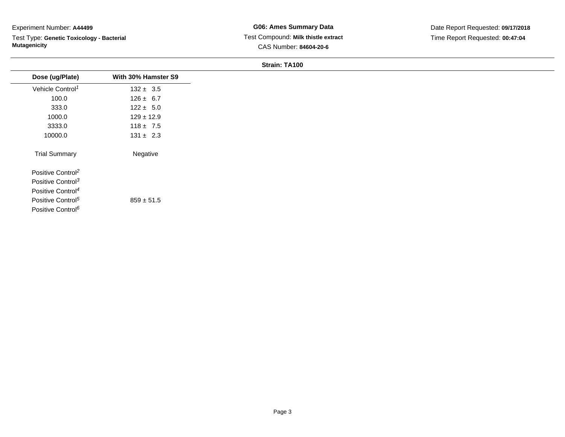Test Type: **Genetic Toxicology - Bacterial Mutagenicity**

**G06: Ames Summary Data** Test Compound: **Milk thistle extract**CAS Number: **84604-20-6**

Date Report Requested: **09/17/2018**Time Report Requested: **00:47:04**

| Dose (ug/Plate)               | With 30% Hamster S9 |
|-------------------------------|---------------------|
| Vehicle Control <sup>1</sup>  | $132 \pm 3.5$       |
| 100.0                         | $126 \pm 6.7$       |
| 333.0                         | $122 \pm 5.0$       |
| 1000.0                        | $129 \pm 12.9$      |
| 3333.0                        | $118 \pm 7.5$       |
| 10000.0                       | $131 \pm 2.3$       |
| <b>Trial Summary</b>          | Negative            |
| Positive Control <sup>2</sup> |                     |
| Positive Control <sup>3</sup> |                     |
| Positive Control <sup>4</sup> |                     |
| Positive Control <sup>5</sup> | $859 \pm 51.5$      |
| Positive Control <sup>6</sup> |                     |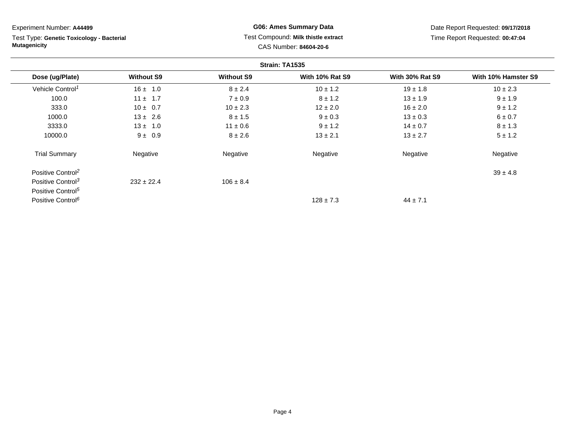**Strain: TA1535Dose (ug/Plate) Without S9 Without S9 With 10% Rat S9 With 30% Rat S9 With 10% Hamster S9** Vehicle Control<sup>1</sup>  $16 \pm 1.0$  8 ± 2.4 10 ± 1.2 19 ± 1.8 10 ± 2.3 100.00 11 ± 1.7  $7 \pm 0.9$   $8 \pm 1.2$   $13 \pm 1.9$   $9 \pm 1.9$ 333.00 10 ± 0.7 10 ± 2.3 12 ± 2.0 16 ± 2.0 9 ± 1.2 1000.00  $13 \pm 2.6$   $8 \pm 1.5$   $9 \pm 0.3$   $13 \pm 0.3$   $6 \pm 0.7$ 3333.00 13 ± 1.0 11 ± 0.6 9 ± 1.2 14 ± 0.7 8 ± 1.3 10000.00  $9 \pm 0.9$   $8 \pm 2.6$   $13 \pm 2.1$   $13 \pm 2.7$   $5 \pm 1.2$ Trial Summary Negativee **Negative Regative** Negative Negative Negative Regative Negative Experiment Number: **A44499**Test Type: **Genetic Toxicology - BacterialMutagenicity** Test Compound: **Milk thistle extract**CAS Number: **84604-20-6**Date Report Requested: **09/17/2018**Time Report Requested: **00:47:04**

Positive Control<sup>2</sup>  $\frac{2}{39 \pm 4.8}$ Positive Control<sup>3</sup>  $232 \pm 22.4$  $106 \pm 8.4$ Positive Control<sup>5</sup> Positive Control<sup>6</sup>  $128 \pm 7.3$  $44 \pm 7.1$ 

# **G06: Ames Summary Data**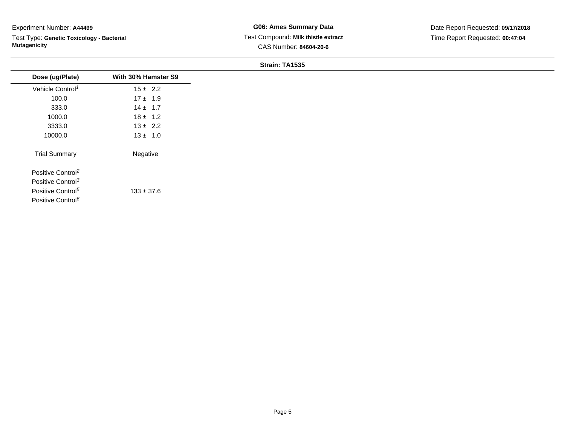Test Type: **Genetic Toxicology - Bacterial Mutagenicity**

| Dose (ug/Plate)               | With 30% Hamster S9 |
|-------------------------------|---------------------|
| Vehicle Control <sup>1</sup>  | $15 \pm 2.2$        |
| 100.0                         | $17 \pm 1.9$        |
| 333.0                         | $14 \pm 1.7$        |
| 1000.0                        | $18 \pm 1.2$        |
| 3333.0                        | $13 \pm 2.2$        |
| 10000.0                       | $13 \pm 1.0$        |
| <b>Trial Summary</b>          | Negative            |
| Positive Control <sup>2</sup> |                     |
| Positive Control <sup>3</sup> |                     |
| Positive Control <sup>5</sup> | $133 \pm 37.6$      |
| Positive Control <sup>6</sup> |                     |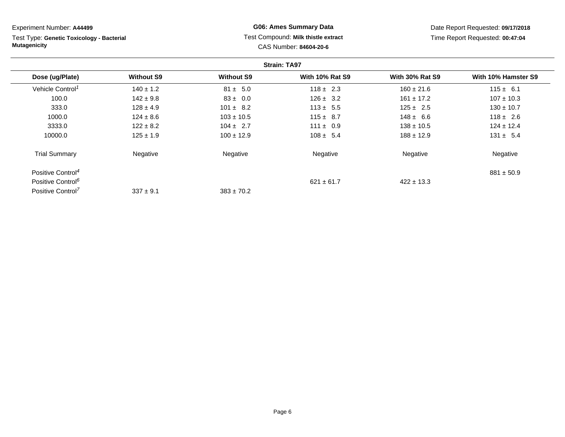**Strain: TA97Dose (ug/Plate) Without S9 Without S9 With 10% Rat S9 With 30% Rat S9 With 10% Hamster S9** Vehicle Control<sup>1</sup>  $140 \pm 1.2$ 2  $81 \pm 5.0$   $118 \pm 2.3$   $160 \pm 21.6$   $115 \pm 6.1$ 100.00 142 ±  $9.8$  83 ± 0.0 126 ± 3.2 161 ± 17.2 107 ± 10.3 333.00 128 ± 4.9 101 ± 8.2 113 ± 5.5 125 ± 2.5 130 ± 10.7 1000.00 124 ± 8.6 103 ± 10.5 115 ± 8.7 148 ± 6.6 118 ± 2.6 3333.00 122 ± 8.2 104 ± 2.7 111 ± 0.9 138 ± 10.5 124 ± 12.4 10000.00 125 ± 1.9 100 ± 12.9 108 ± 5.4 188 ± 12.9 131 ± 5.4 Trial Summary Negativee **Negative Regative** Negative Negative Negative Regative Negative Positive Control<sup>4</sup> $881 \pm 50.9$ Positive Control<sup>6</sup>  $621 \pm 61.7$  $422 \pm 13.3$ Experiment Number: **A44499**Test Type: **Genetic Toxicology - BacterialMutagenicityG06: Ames Summary Data** Test Compound: **Milk thistle extract**CAS Number: **84604-20-6**Date Report Requested: **09/17/2018**Time Report Requested: **00:47:04**

 $383 \pm 70.2$ 

Positive Control<sup>7</sup>

 $337 \pm 9.1$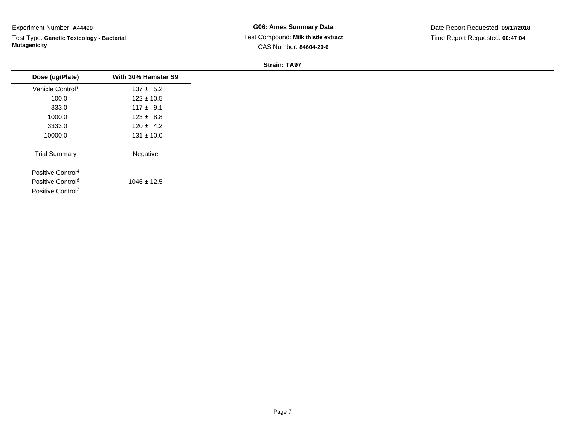Test Type: **Genetic Toxicology - Bacterial Mutagenicity**

**G06: Ames Summary Data** Test Compound: **Milk thistle extract**CAS Number: **84604-20-6**

Date Report Requested: **09/17/2018**Time Report Requested: **00:47:04**

| Dose (ug/Plate)               | With 30% Hamster S9 |
|-------------------------------|---------------------|
| Vehicle Control <sup>1</sup>  | $137 \pm 5.2$       |
| 100.0                         | $122 \pm 10.5$      |
| 333.0                         | $117 \pm 9.1$       |
| 1000.0                        | $123 \pm 8.8$       |
| 3333.0                        | $120 \pm 4.2$       |
| 10000.0                       | $131 \pm 10.0$      |
| <b>Trial Summary</b>          | Negative            |
| Positive Control <sup>4</sup> |                     |
| Positive Control <sup>6</sup> | $1046 \pm 12.5$     |
| Positive Control <sup>7</sup> |                     |
|                               |                     |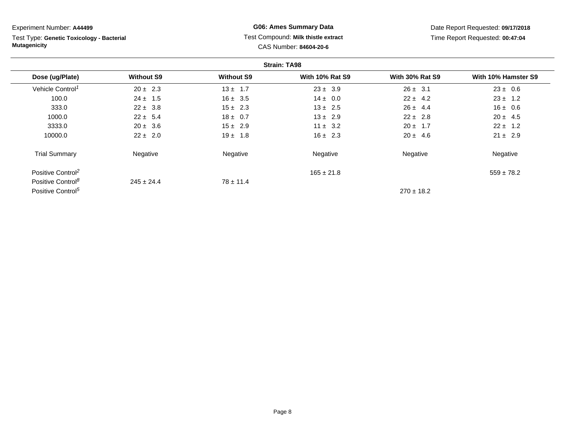Test Type: **Genetic Toxicology - Bacterial Mutagenicity**

# **G06: Ames Summary Data** Test Compound: **Milk thistle extract**CAS Number: **84604-20-6**

Date Report Requested: **09/17/2018**Time Report Requested: **00:47:04**

|                               |                   |                   | <b>Strain: TA98</b>    |                        |                     |
|-------------------------------|-------------------|-------------------|------------------------|------------------------|---------------------|
| Dose (ug/Plate)               | <b>Without S9</b> | <b>Without S9</b> | <b>With 10% Rat S9</b> | <b>With 30% Rat S9</b> | With 10% Hamster S9 |
| Vehicle Control <sup>1</sup>  | $20 \pm 2.3$      | $13 \pm 1.7$      | $23 \pm 3.9$           | $26 \pm 3.1$           | $23 \pm 0.6$        |
| 100.0                         | $24 \pm 1.5$      | $16 \pm 3.5$      | $14 \pm 0.0$           | $22 \pm 4.2$           | $23 \pm 1.2$        |
| 333.0                         | $22 \pm 3.8$      | $15 \pm 2.3$      | $13 \pm 2.5$           | $26 \pm 4.4$           | $16 \pm 0.6$        |
| 1000.0                        | $22 \pm 5.4$      | $18 \pm 0.7$      | $13 \pm 2.9$           | $22 \pm 2.8$           | $20 \pm 4.5$        |
| 3333.0                        | $20 \pm 3.6$      | $15 \pm 2.9$      | $11 \pm 3.2$           | $20 \pm 1.7$           | $22 \pm 1.2$        |
| 10000.0                       | $22 \pm 2.0$      | $19 \pm 1.8$      | $16 \pm 2.3$           | $20 \pm 4.6$           | $21 \pm 2.9$        |
| <b>Trial Summary</b>          | Negative          | Negative          | Negative               | Negative               | Negative            |
| Positive Control <sup>2</sup> |                   |                   | $165 \pm 21.8$         |                        | $559 \pm 78.2$      |
| Positive Control <sup>8</sup> | $245 \pm 24.4$    | $78 \pm 11.4$     |                        |                        |                     |
| Positive Control <sup>5</sup> |                   |                   |                        | $270 \pm 18.2$         |                     |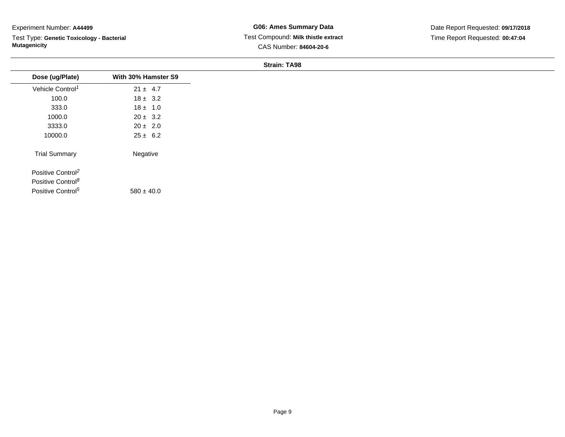Test Type: **Genetic Toxicology - Bacterial Mutagenicity**

**G06: Ames Summary Data** Test Compound: **Milk thistle extract**CAS Number: **84604-20-6**

Date Report Requested: **09/17/2018**Time Report Requested: **00:47:04**

| Dose (ug/Plate)               | With 30% Hamster S9 |
|-------------------------------|---------------------|
| Vehicle Control <sup>1</sup>  | $21 \pm 4.7$        |
| 100.0                         | $18 \pm 3.2$        |
| 333.0                         | $18 \pm 1.0$        |
| 1000.0                        | $20 \pm 3.2$        |
| 3333.0                        | $20 \pm 2.0$        |
| 10000.0                       | $25 \pm 6.2$        |
| <b>Trial Summary</b>          | Negative            |
| Positive Control <sup>2</sup> |                     |
| Positive Control <sup>8</sup> |                     |
| Positive Control <sup>5</sup> | $580 \pm 40.0$      |
|                               |                     |